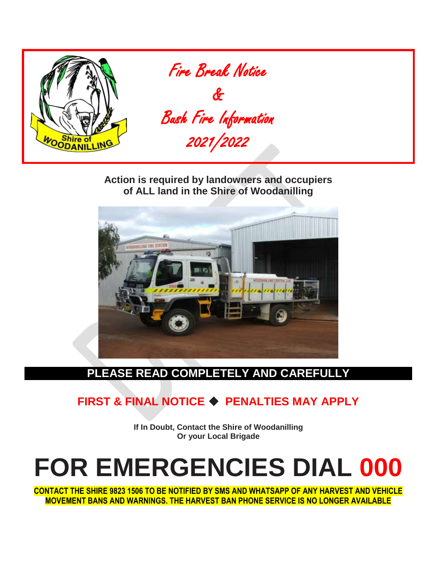

**Action is required by landowners and occupiers of ALL land in the Shire of Woodanilling**



## **PLEASE READ COMPLETELY AND CAREFULLY**

# **FIRST & FINAL NOTICE** ◆ **PENALTIES MAY APPLY**

**If In Doubt, Contact the Shire of Woodanilling Or your Local Brigade**

# **FOR EMERGENCIES DIAL 000**

**CONTACT THE SHIRE 9823 1506 TO BE NOTIFIED BY SMS AND WHATSAPP OF ANY HARVEST AND VEHICLE MOVEMENT BANS AND WARNINGS. THE HARVEST BAN PHONE SERVICE IS NO LONGER AVAILABLE**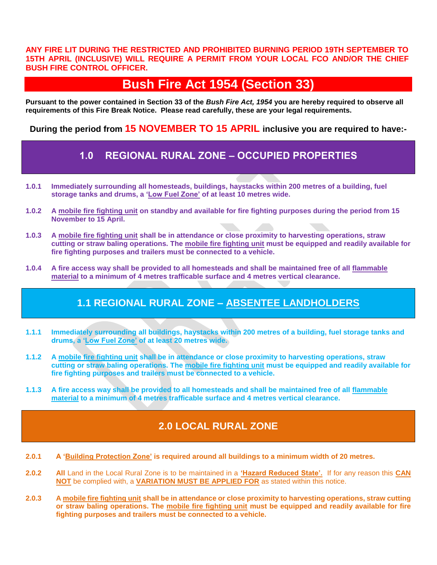**ANY FIRE LIT DURING THE RESTRICTED AND PROHIBITED BURNING PERIOD 19TH SEPTEMBER TO 15TH APRIL (INCLUSIVE) WILL REQUIRE A PERMIT FROM YOUR LOCAL FCO AND/OR THE CHIEF BUSH FIRE CONTROL OFFICER.**

# **Bush Fire Act 1954 (Section 33)**

**Pursuant to the power contained in Section 33 of the** *Bush Fire Act, 1954* **you are hereby required to observe all requirements of this Fire Break Notice. Please read carefully, these are your legal requirements.**

**During the period from 15 NOVEMBER TO 15 APRIL inclusive you are required to have:-**

## **1.0 REGIONAL RURAL ZONE – OCCUPIED PROPERTIES**

- **1.0.1 Immediately surrounding all homesteads, buildings, haystacks within 200 metres of a building, fuel storage tanks and drums, a 'Low Fuel Zone' of at least 10 metres wide.**
- **1.0.2 A mobile fire fighting unit on standby and available for fire fighting purposes during the period from 15 November to 15 April.**
- **1.0.3 A mobile fire fighting unit shall be in attendance or close proximity to harvesting operations, straw cutting or straw baling operations. The mobile fire fighting unit must be equipped and readily available for fire fighting purposes and trailers must be connected to a vehicle.**
- **1.0.4 A fire access way shall be provided to all homesteads and shall be maintained free of all flammable material to a minimum of 4 metres trafficable surface and 4 metres vertical clearance.**

## **1.1 REGIONAL RURAL ZONE – ABSENTEE LANDHOLDERS**

- **1.1.1 Immediately surrounding all buildings, haystacks within 200 metres of a building, fuel storage tanks and drums, a 'Low Fuel Zone' of at least 20 metres wide.**
- **1.1.2 A mobile fire fighting unit shall be in attendance or close proximity to harvesting operations, straw cutting or straw baling operations. The mobile fire fighting unit must be equipped and readily available for fire fighting purposes and trailers must be connected to a vehicle.**
- **1.1.3 A fire access way shall be provided to all homesteads and shall be maintained free of all flammable material to a minimum of 4 metres trafficable surface and 4 metres vertical clearance.**

## **2.0 LOCAL RURAL ZONE**

- **2.0.1 A 'Building Protection Zone' is required around all buildings to a minimum width of 20 metres.**
- **2.0.2 All** Land in the Local Rural Zone is to be maintained in a **'Hazard Reduced State'.** If for any reason this **CAN NOT** be complied with, a **VARIATION MUST BE APPLIED FOR** as stated within this notice.
- **2.0.3 A mobile fire fighting unit shall be in attendance or close proximity to harvesting operations, straw cutting or straw baling operations. The mobile fire fighting unit must be equipped and readily available for fire fighting purposes and trailers must be connected to a vehicle.**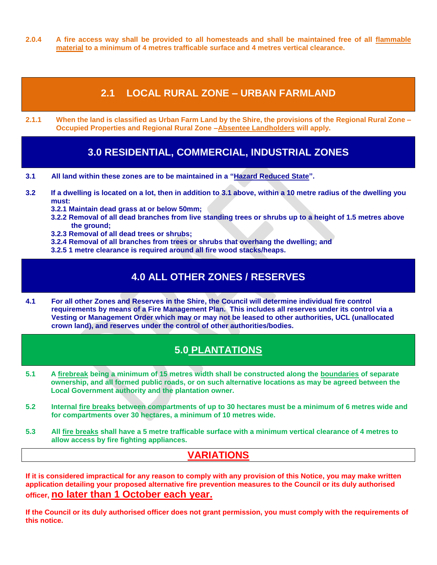**2.0.4 A fire access way shall be provided to all homesteads and shall be maintained free of all flammable material to a minimum of 4 metres trafficable surface and 4 metres vertical clearance.**

## **2.1 LOCAL RURAL ZONE – URBAN FARMLAND**

**2.1.1 When the land is classified as Urban Farm Land by the Shire, the provisions of the Regional Rural Zone – Occupied Properties and Regional Rural Zone –Absentee Landholders will apply.**

## **3.0 RESIDENTIAL, COMMERCIAL, INDUSTRIAL ZONES**

- **3.1 All land within these zones are to be maintained in a "Hazard Reduced State".**
- **3.2 If a dwelling is located on a lot, then in addition to 3.1 above, within a 10 metre radius of the dwelling you must:**
	- **3.2.1 Maintain dead grass at or below 50mm;**
	- **3.2.2 Removal of all dead branches from live standing trees or shrubs up to a height of 1.5 metres above the ground;**
	- **3.2.3 Removal of all dead trees or shrubs;**
	- **3.2.4 Removal of all branches from trees or shrubs that overhang the dwelling; and**
	- **3.2.5 1 metre clearance is required around all fire wood stacks/heaps.**

## **4.0 ALL OTHER ZONES / RESERVES**

**4.1 For all other Zones and Reserves in the Shire, the Council will determine individual fire control requirements by means of a Fire Management Plan. This includes all reserves under its control via a Vesting or Management Order which may or may not be leased to other authorities, UCL (unallocated crown land), and reserves under the control of other authorities/bodies.** 

## **5.0 PLANTATIONS**

- **5.1 A firebreak being a minimum of 15 metres width shall be constructed along the boundaries of separate ownership, and all formed public roads, or on such alternative locations as may be agreed between the Local Government authority and the plantation owner.**
- **5.2 Internal fire breaks between compartments of up to 30 hectares must be a minimum of 6 metres wide and for compartments over 30 hectares, a minimum of 10 metres wide.**
- **5.3 All fire breaks shall have a 5 metre trafficable surface with a minimum vertical clearance of 4 metres to allow access by fire fighting appliances.**

## **VARIATIONS**

**If it is considered impractical for any reason to comply with any provision of this Notice, you may make written application detailing your proposed alternative fire prevention measures to the Council or its duly authorised officer, no later than 1 October each year.**

**If the Council or its duly authorised officer does not grant permission, you must comply with the requirements of this notice.**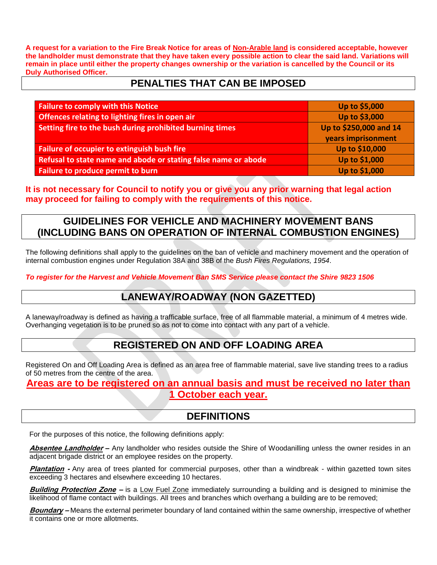**A request for a variation to the Fire Break Notice for areas of Non-Arable land is considered acceptable, however the landholder must demonstrate that they have taken every possible action to clear the said land. Variations will remain in place until either the property changes ownership or the variation is cancelled by the Council or its Duly Authorised Officer.**

## **PENALTIES THAT CAN BE IMPOSED**

| <b>Failure to comply with this Notice</b>                      | Up to \$5,000          |
|----------------------------------------------------------------|------------------------|
| Offences relating to lighting fires in open air                | Up to \$3,000          |
| Setting fire to the bush during prohibited burning times       | Up to \$250,000 and 14 |
|                                                                | years imprisonment     |
| Failure of occupier to extinguish bush fire                    | Up to \$10,000         |
| Refusal to state name and abode or stating false name or abode | Up to \$1,000          |
| Failure to produce permit to burn                              | Up to \$1,000          |

**It is not necessary for Council to notify you or give you any prior warning that legal action may proceed for failing to comply with the requirements of this notice.**

## **GUIDELINES FOR VEHICLE AND MACHINERY MOVEMENT BANS (INCLUDING BANS ON OPERATION OF INTERNAL COMBUSTION ENGINES)**

The following definitions shall apply to the guidelines on the ban of vehicle and machinery movement and the operation of internal combustion engines under Regulation 38A and 38B of the *Bush Fires Regulations, 1954*.

*To register for the Harvest and Vehicle Movement Ban SMS Service please contact the Shire 9823 1506*

## **LANEWAY/ROADWAY (NON GAZETTED)**

A laneway/roadway is defined as having a trafficable surface, free of all flammable material, a minimum of 4 metres wide. Overhanging vegetation is to be pruned so as not to come into contact with any part of a vehicle.

#### **REGISTERED ON AND OFF LOADING AREA**

Registered On and Off Loading Area is defined as an area free of flammable material, save live standing trees to a radius of 50 metres from the centre of the area.

**Areas are to be registered on an annual basis and must be received no later than 1 October each year.**

#### **DEFINITIONS**

For the purposes of this notice, the following definitions apply:

**Absentee Landholder –** Any landholder who resides outside the Shire of Woodanilling unless the owner resides in an adjacent brigade district or an employee resides on the property.

**Plantation -** Any area of trees planted for commercial purposes, other than a windbreak - within gazetted town sites exceeding 3 hectares and elsewhere exceeding 10 hectares.

**Building Protection Zone –** is a Low Fuel Zone immediately surrounding a building and is designed to minimise the likelihood of flame contact with buildings. All trees and branches which overhang a building are to be removed;

**Boundary –** Means the external perimeter boundary of land contained within the same ownership, irrespective of whether it contains one or more allotments.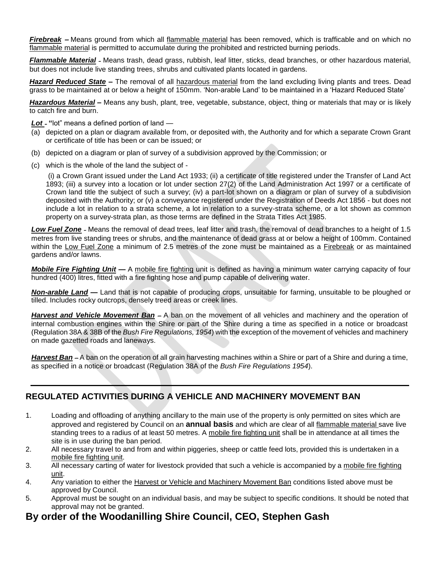*Firebreak* **–** Means ground from which all flammable material has been removed, which is trafficable and on which no flammable material is permitted to accumulate during the prohibited and restricted burning periods.

*Flammable Material* – Means trash, dead grass, rubbish, leaf litter, sticks, dead branches, or other hazardous material, but does not include live standing trees, shrubs and cultivated plants located in gardens.

*Hazard Reduced State –* The removal of all hazardous material from the land excluding living plants and trees. Dead grass to be maintained at or below a height of 150mm. 'Non-arable Land' to be maintained in a 'Hazard Reduced State'

*Hazardous Material –* Means any bush, plant, tree, vegetable, substance, object, thing or materials that may or is likely to catch fire and burn.

*Lot* – **"**lot" means a defined portion of land —

- (a) depicted on a plan or diagram available from, or deposited with, the Authority and for which a separate Crown Grant or certificate of title has been or can be issued; or
- (b) depicted on a diagram or plan of survey of a subdivision approved by the Commission; or
- (c) which is the whole of the land the subject of -

(i) a Crown Grant issued under the Land Act 1933; (ii) a certificate of title registered under the Transfer of Land Act 1893; (iii) a survey into a location or lot under section 27(2) of the Land Administration Act 1997 or a certificate of Crown land title the subject of such a survey; (iv) a part-lot shown on a diagram or plan of survey of a subdivision deposited with the Authority; or (v) a conveyance registered under the Registration of Deeds Act 1856 - but does not include a lot in relation to a strata scheme, a lot in relation to a survey-strata scheme, or a lot shown as common property on a survey-strata plan, as those terms are defined in the Strata Titles Act 1985.

*Low Fuel Zone* – Means the removal of dead trees, leaf litter and trash, the removal of dead branches to a height of 1.5 metres from live standing trees or shrubs, and the maintenance of dead grass at or below a height of 100mm. Contained within the Low Fuel Zone a minimum of 2.5 metres of the zone must be maintained as a Firebreak or as maintained gardens and/or lawns.

*Mobile Fire Fighting Unit —* A mobile fire fighting unit is defined as having a minimum water carrying capacity of four hundred (400) litres, fitted with a fire fighting hose and pump capable of delivering water.

*Non-arable Land —* Land that is not capable of producing crops, unsuitable for farming, unsuitable to be ploughed or tilled. Includes rocky outcrops, densely treed areas or creek lines.

*Harvest and Vehicle Movement Ban* — A ban on the movement of all vehicles and machinery and the operation of internal combustion engines within the Shire or part of the Shire during a time as specified in a notice or broadcast (Regulation 38A & 38B of the *Bush Fire Regulations, 1954*) with the exception of the movement of vehicles and machinery on made gazetted roads and laneways.

*Harvest Ban* — A ban on the operation of all grain harvesting machines within a Shire or part of a Shire and during a time, as specified in a notice or broadcast (Regulation 38A of the *Bush Fire Regulations 1954*).

#### **REGULATED ACTIVITIES DURING A VEHICLE AND MACHINERY MOVEMENT BAN**

- 1. Loading and offloading of anything ancillary to the main use of the property is only permitted on sites which are approved and registered by Council on an **annual basis** and which are clear of all flammable material save live standing trees to a radius of at least 50 metres. A mobile fire fighting unit shall be in attendance at all times the site is in use during the ban period.
- 2. All necessary travel to and from and within piggeries, sheep or cattle feed lots, provided this is undertaken in a mobile fire fighting unit.
- 3. All necessary carting of water for livestock provided that such a vehicle is accompanied by a mobile fire fighting unit.
- 4. Any variation to either the Harvest or Vehicle and Machinery Movement Ban conditions listed above must be approved by Council.
- 5. Approval must be sought on an individual basis, and may be subject to specific conditions. It should be noted that approval may not be granted.

## **By order of the Woodanilling Shire Council, CEO, Stephen Gash**